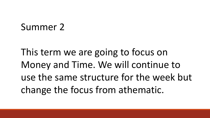# Summer 2

This term we are going to focus on Money and Time. We will continue to use the same structure for the week but change the focus from athematic.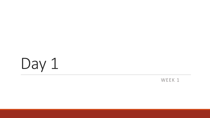

### WEEK 1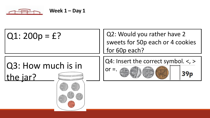

 $Q1: 200p = f$ ?  $\begin{vmatrix} \phantom{-} & \phantom{-} \end{vmatrix}$  | Q2: Would you rather have 2 sweets for 50p each or 4 cookies for 60p each?

## Q3: How much is in the jar? **Allining of the Column Plans**

Q4: Insert the correct symbol. <, >

 $39<sub>p</sub>$ 

 $or =$ .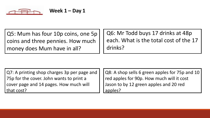

Q5: Mum has four 10p coins, one 5p coins and three pennies. How much money does Mum have in all?

Q6: Mr Todd buys 17 drinks at 48p each. What is the total cost of the 17 drinks?

Q7: A printing shop charges 3p per page and 75p for the cover. John wants to print a cover page and 14 pages. How much will that cost?

Q8: A shop sells 6 green apples for 75p and 10 red apples for 90p. How much will it cost Jason to by 12 green apples and 20 red apples?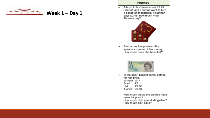

#### Fluency

A box of chocolates costs £1.25  $\bullet$  . Hannah and Thomas want to buy 4 boxes of chocolates. If Hannah pays £2.45, how much must Thomas pay?



Emma has five pounds. She  $\bullet$ spends a quarter of her money. How much does she have left?



In the sale I bought some clothes  $\bullet$ for half price. Jumper £14 Scarf £7. Hat £2.50 T-shirt £6.50

> How much would the clothes have been full price? How much did I spend altogether? How much did I save?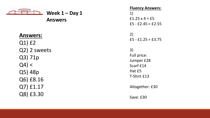

## **Answers:**

Q1) £2 Q2) 2 sweets Q3) 71p  $Q4$ ) < Q5) 48p Q6) £8.16 Q7) £1.17 Q8) £3.30

**Fluency Answers:** 1) £1.25  $\times$  4 = £5  $E5 - E2.45 = E2.55$ 2) £5 - £1.25 = £3.75 3) Full price: Jumper £28 Scarf £14 Hat £5 T-Shirt £13 Altogether: £30 Save: £30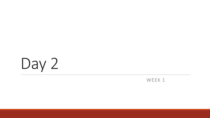

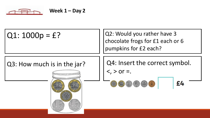

 $Q1: 1000p = f$ ?

Q2: Would you rather have 3 chocolate frogs for £1 each or 6 pumpkins for £2 each?

## Q3: How much is in the jar?

Q4: Insert the correct symbol.

 $\langle$ ,  $>$  or =.

$$
\bullet \bullet \bullet \bullet \bullet
$$

£4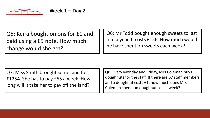

Q5: Keira bought onions for £1 and paid using a £5 note. How much change would she get?

Q6: Mr Todd bought enough sweets to last him a year. It costs £156. How much would he have spent on sweets each week?

Q7: Miss Smith brought some land for £1254. She has to pay £55 a week. How long will it take her to pay off the land?

Q8: Every Monday and Friday, Mrs Coleman buys doughnuts for the staff. If there are 67 staff members and a doughnut costs £1, how much does Mrs Coleman spend on doughnuts each week?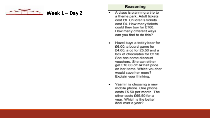$$
\begin{array}{c}\n \overbrace{\text{mean}} \\
\text{Week 1} - \text{Day 2}\n \end{array}
$$

#### Reasoning

- A class is planning a trip to a theme park. Adult tickets cost £8. Children's tickets cost £4. How many tickets could they buy for £100. How many different ways can you find to do this?
- Hazel buys a teddy bear for £6.00, a board game for £4.00, a cd for £5.50 and a box of chocolates for £2.50. She has some discount vouchers. She can either get £10.00 off or half price on her items. Which voucher would save her more? Explain your thinking.
- Yasmin is choosing a new mobile phone. One phone costs £5.50 per month. The other costs £65.50 for a year. Which is the better deal over a year?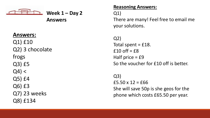

## **Answers:**

Q1) £10 Q2) 3 chocolate frogs Q3) £5  $Q4$ ) < Q5) £4 Q6) £3 Q7) 23 weeks Q8) £134

### **Reasoning Answers:**

Q1)

There are many! Feel free to email me your solutions.

Q2) Total spent =  $£18$ .  $f10 \text{ off} = f8$ Half price  $=$  £9 So the voucher for £10 off is better.

Q3)  $f5.50 \times 12 = f66$ She will save 50p is she geos for the phone which costs £65.50 per year.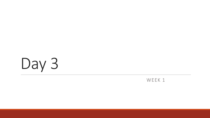

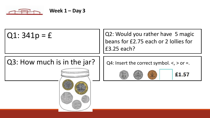

 $Q1: 341p = f$  | | Q2: Would you rather have 5 magic beans for £2.75 each or 2 lollies for £3.25 each?

## Q3: How much is in the jar?



Q4: Insert the correct symbol.  $\lt$ ,  $>$  or =.





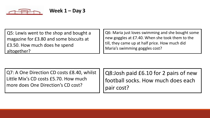

Q5: Lewis went to the shop and bought a magazine for £3.80 and some biscuits at £3.50. How much does he spend altogether?

Q6: Maria just loves swimming and she bought some new goggles at £7.40. When she took them to the till, they came up at half price. How much did Maria's swimming goggles cost?

Q7: A One Direction CD costs £8.40, whilst Little Mix's CD costs £5.70. How much more does One Direction's CD cost?

Q8:Josh paid £6.10 for 2 pairs of new football socks. How much does each pair cost?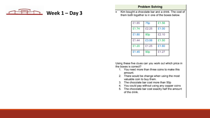

Kim bought a chocolate bar and a drink. The cost of  $\bullet$  . them both together is in one of the boxes below.

| £1.85 | 75p   | £1.56 |
|-------|-------|-------|
| £1.74 | £2.25 | £1.00 |
| £1.80 | 80p   | £2.10 |
| £1.44 | £3.06 | £1.50 |
| £1.20 | £1.25 | £1.60 |
| £1.45 | 90p   | £1.27 |

Using these five clues can you work out which price in the boxes is correct?

- 1. You need more than three coins to make this amount.
- 2. There would be change when using the most valuable coin to buy them.
- 3. The chocolate bar cost more than 50p
- 4. You could pay without using any copper coins
- 5. The chocolate bar cost exactly half the amount of the drink.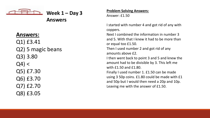

**Week 1 – Day 3**

### **Answers:**

Q1) £3.41 Q2) 5 magic beans Q3) 3.80  $Q4$ ) < Q5) £7.30 Q6) £3.70 Q7) £2.70 Q8) £3.05

#### **Problem Solving Answers:**

Answer: £1.50

I started with number 4 and got rid of any with coppers. Next I combined the information in number 3

and 5. With that I knew it had to be more than or equal too £1.50.

Then I used number 2 and got rid of any amounts above £2.

I then went back to point 3 and 5 and knew the amount had to be divisible by 3. This left me with £1.50 and £1.80. Finally I used number 1. £1.50 can be made using 3 50p coins. £1.80 could be made with £1 and 50p but I would then need a 20p and 10p. Leaving me with the answer of £1.50.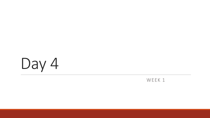

### WEEK 1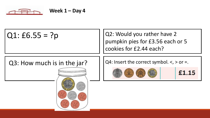

 $Q1: E6.55 = ?p$  | | Q2: Would you rather have 2 pumpkin pies for £3.56 each or 5 cookies for £2.44 each?

## Q3: How much is in the jar?  $\vert \vert^{Q4}$ : Insert the correct symbol. <, > or =.



£1.15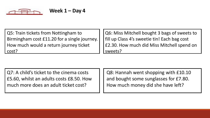

| Q5: Train tickets from Nottingham to         | Q6: Miss Mitchell bought 3 bags of sweets to |
|----------------------------------------------|----------------------------------------------|
| Birmingham cost £11.20 for a single journey. | fill up Class 4's sweetie tin! Each bag cost |
| How much would a return journey ticket       | £2.30. How much did Miss Mitchell spend on   |
| cost?                                        | sweets?                                      |

Q7: A child's ticket to the cinema costs £5.60, whilst an adults costs £8.50. How much more does an adult ticket cost?

Q8: Hannah went shopping with £10.10 and bought some sunglasses for £7.80. How much money did she have left?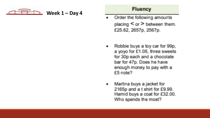$$
\begin{array}{c}\n\hline\n\end{array}
$$
 **Week 1 – Day 4**

### **Fluency**

- Order the following amounts placing  $\le$  or  $\ge$  between them. £25.62, 2657p, 2567p.
- Robbie buys a toy car for 99p, ۰. a yoyo for £1.05, three sweets for 30p each and a chocolate bar for 47p. Does he have enough money to pay with a £5 note?
- Martina buys a jacket for ۰. 2165p and a t shirt for £9.99. Hamid buys a coat for £32.00. Who spends the most?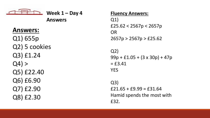$$
\overbrace{\phantom{aaaaa}}^{\overbrace{\text{max}}}
$$

$$
Week 1 - Day 4
$$

## **Answers:**

Q1) 655p Q2) 5 cookies Q3) £1.24  $Q4$ ) > Q5) £22.40 Q6) £6.90 Q7) £2.90 Q8) £2.30

### **Fluency Answers:**

Q1)  $£25.62 < 2567p < 2657p$ OR 2657p > 2567p > £25.62

Q2)  $99p + £1.05 + (3 \times 30p) + 47p$  $=$  £3.41 YES

Q3)  $£21.65 + £9.99 = £31.64$ Hamid spends the most with £32.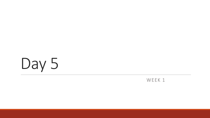

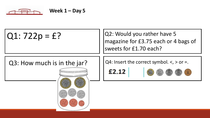

<u>U TITTITTI TILULU</u>

 $Q1: 722p = f$ ?  $|Q2: Would you rather have 5$ magazine for £3.75 each or 4 bags of sweets for £1.70 each?

## Q3: How much is in the jar?  $\vert \vert^{Q4}$ : Insert the correct symbol. <, > or =.

£2.12

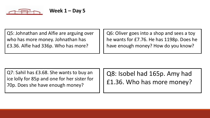

Q5: Johnathan and Alfie are arguing over who has more money. Johnathan has £3.36. Alfie had 336p. Who has more?

Q6: Oliver goes into a shop and sees a toy he wants for £7.76. He has 1198p. Does he have enough money? How do you know?

Q7: Sahil has £3.68. She wants to buy an ice lolly for 85p and one for her sister for 70p. Does she have enough money?

Q8: Isobel had 165p. Amy had £1.36. Who has more money?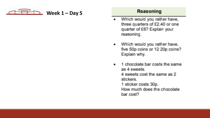$$
\begin{array}{c}\n\hline\n\end{array}
$$
 **Week 1 – Day 5**

### Reasoning

- Which would you rather have,  $\bullet$  . three quarters of £2.40 or one quarter of £6? Explain your reasoning.
- Which would you rather have, . five 50p coins or 12 20p coins? Explain why.
	- 1 chocolate bar costs the same as 4 sweets. 4 sweets cost the same as 2 stickers. 1 sticker costs 30p. How much does the chocolate bar cost?